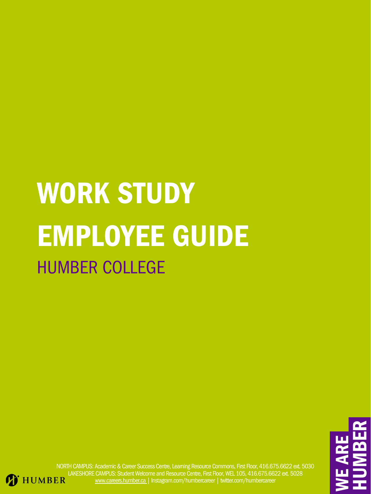E**KIZ** REHUMm ER

NORTH CAMPUS: Academic & Career Success Centre, Learning Resource Commons, First Floor, 416.675.6622 ext. 5030 LAKESHORE CAMPUS: Student Welcome and Resource Centre, First Floor, WEL 105, 416.675.6622 ext. 5028 **T** HUMBER [www.careers.humber.ca](http://careers.humber.ca/) | Instagram.com/humbercareer | twitter.com/humbercareer

# WORK STUDY

# EMPLOYEE GUIDE

## HUMBER COLLEGE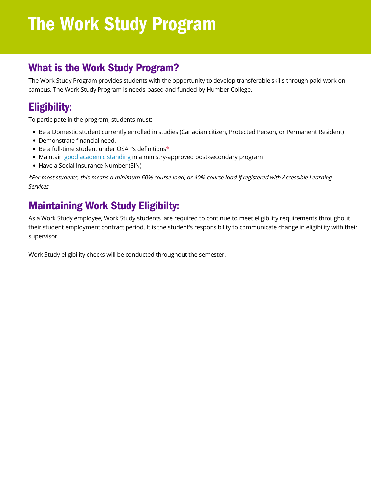#### Maintaining Work Study Eligibilty:

- Be a Domestic student currently enrolled in studies (Canadian citizen, Protected Person, or Permanent Resident)
- Demonstrate financial need.
- Be a full-time student under OSAP's definitions\*
- Maintain good [academic](https://academic-regulations.humber.ca/) standing in a ministry-approved post-secondary program
- Have a Social Insurance Number (SIN)

## Eligibility:

To participate in the program, students must:

## What is the Work Study Program?

The Work Study Program provides students with the opportunity to develop transferable skills through paid work on campus. The Work Study Program is needs-based and funded by Humber College.

\*For most students, this means a minimum 60% course load; or 40% course load if registered with Accessible Learning *Services*

As a Work Study employee, Work Study students are required to continue to meet eligibility requirements throughout their student employment contract period. It is the student's responsibility to communicate change in eligibility with their supervisor.

Work Study eligibility checks will be conducted throughout the semester.

# The Work Study Program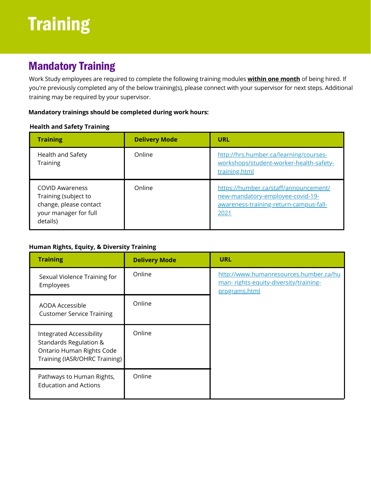Work Study employees are required to complete the following training modules **within one month** of being hired. If you're previously completed any of the below training(s), please connect with your supervisor for next steps. Additional training may be required by your supervisor.

#### **Mandatory trainings should be completed during work hours:**



## **Mandatory Training**

#### **Health and Safety Training**

#### **Human Rights, Equity, & Diversity Training**

| <b>Training</b>                                                                                               | <b>Delivery Mode</b> | <b>URL</b>                                                                                                                  |
|---------------------------------------------------------------------------------------------------------------|----------------------|-----------------------------------------------------------------------------------------------------------------------------|
| <b>Health and Safety</b><br><b>Training</b>                                                                   | Online               | http://hrs.humber.ca/learning/courses-<br>workshops/student-worker-health-safety-<br>training.html                          |
| <b>COVID Awareness</b><br>Training (subject to<br>change, please contact<br>your manager for full<br>details) | Online               | https://humber.ca/staff/announcement/<br>new-mandatory-employee-covid-19-<br>awareness-training-return-campus-fall-<br>2021 |

| <b>Training</b>                                                                                                                           | <b>Delivery Mode</b> | <b>URL</b>                                                                                       |
|-------------------------------------------------------------------------------------------------------------------------------------------|----------------------|--------------------------------------------------------------------------------------------------|
| <b>Sexual Violence Training for</b><br>Employees                                                                                          | Online               | http://www.humanresources.humber.ca/hu<br>man-rights-equity-diversity/training-<br>programs.html |
| <b>AODA Accessible</b><br><b>Customer Service Training</b>                                                                                | Online               |                                                                                                  |
| <b>Integrated Accessibility</b><br><b>Standards Regulation &amp;</b><br><b>Ontario Human Rights Code</b><br>Training (IASR/OHRC Training) | Online               |                                                                                                  |
| Pathways to Human Rights,<br><b>Education and Actions</b>                                                                                 | Online               |                                                                                                  |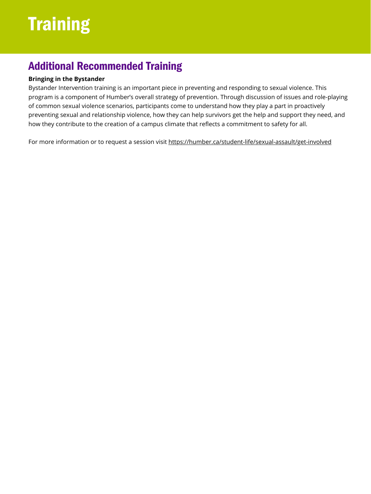# Training

#### **Bringing in the Bystander**

Bystander Intervention training is an important piece in preventing and responding to sexual violence. This program is a component of Humber's overall strategy of prevention. Through discussion of issues and role-playing of common sexual violence scenarios, participants come to understand how they play a part in proactively preventing sexual and relationship violence, how they can help survivors get the help and support they need, and how they contribute to the creation of a campus climate that reflects a commitment to safety for all.

For more information or to request a session visit https://humber.ca/student-life/sexual-assault/get-involved

#### Additional Recommended Training